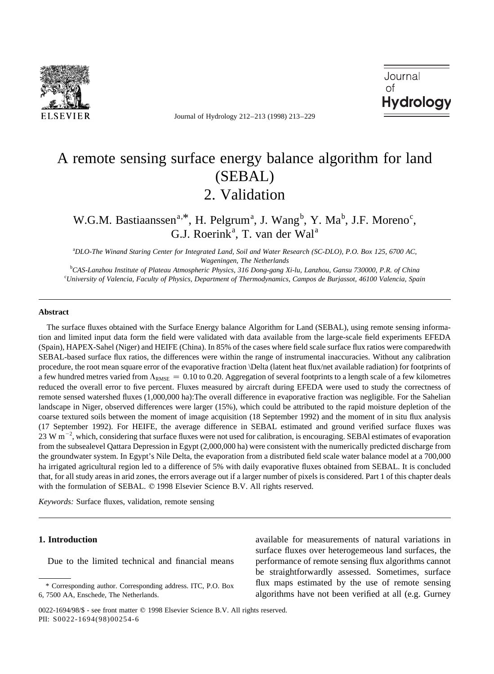

Journal of Hydrology 212–213 (1998) 213–229

Journal  $\cap f$ **Hydrology** 

# A remote sensing surface energy balance algorithm for land (SEBAL) 2. Validation

W.G.M. Bastiaanssen<sup>a,\*</sup>, H. Pelgrum<sup>a</sup>, J. Wang<sup>b</sup>, Y. Ma<sup>b</sup>, J.F. Moreno<sup>c</sup>, G.J. Roerink<sup>a</sup>, T. van der Wal<sup>a</sup>

a *DLO-The Winand Staring Center for Integrated Land, Soil and Water Research (SC-DLO), P.O. Box 125, 6700 AC, Wageningen, The Netherlands*

b *CAS-Lanzhou Institute of Plateau Atmospheric Physics, 316 Dong-gang Xi-lu, Lanzhou, Gansu 730000, P.R. of China* c *University of Valencia, Faculty of Physics, Department of Thermodynamics, Campos de Burjassot, 46100 Valencia, Spain*

#### **Abstract**

The surface fluxes obtained with the Surface Energy balance Algorithm for Land (SEBAL), using remote sensing information and limited input data form the field were validated with data available from the large-scale field experiments EFEDA (Spain), HAPEX-Sahel (Niger) and HEIFE (China). In 85% of the cases where field scale surface flux ratios were comparedwith SEBAL-based surface flux ratios, the differences were within the range of instrumental inaccuracies. Without any calibration procedure, the root mean square error of the evaporative fraction \Delta (latent heat flux/net available radiation) for footprints of a few hundred metres varied from  $\Lambda_{RMSE} = 0.10$  to 0.20. Aggregation of several footprints to a length scale of a few kilometres reduced the overall error to five percent. Fluxes measured by aircraft during EFEDA were used to study the correctness of remote sensed watershed fluxes (1,000,000 ha):The overall difference in evaporative fraction was negligible. For the Sahelian landscape in Niger, observed differences were larger (15%), which could be attributed to the rapid moisture depletion of the coarse textured soils between the moment of image acquisition (18 September 1992) and the moment of in situ flux analysis (17 September 1992). For HEIFE, the average difference in SEBAL estimated and ground verified surface fluxes was 23 W  $\rm m^{-2}$ , which, considering that surface fluxes were not used for calibration, is encouraging. SEBAI estimates of evaporation from the subsealevel Qattara Depression in Egypt (2,000,000 ha) were consistent with the numerically predicted discharge from the groundwater system. In Egypt's Nile Delta, the evaporation from a distributed field scale water balance model at a 700,000 ha irrigated agricultural region led to a difference of 5% with daily evaporative fluxes obtained from SEBAL. It is concluded that, for all study areas in arid zones, the errors average out if a larger number of pixels is considered. Part 1 of this chapter deals with the formulation of SEBAL. © 1998 Elsevier Science B.V. All rights reserved.

*Keywords:* Surface fluxes, validation, remote sensing

## **1. Introduction**

Due to the limited technical and financial means

available for measurements of natural variations in surface fluxes over heterogemeous land surfaces, the performance of remote sensing flux algorithms cannot be straightforwardly assessed. Sometimes, surface flux maps estimated by the use of remote sensing algorithms have not been verified at all (e.g. Gurney

<sup>\*</sup> Corresponding author. Corresponding address. ITC, P.O. Box 6, 7500 AA, Enschede, The Netherlands.

<sup>0022-1694/98/\$ -</sup> see front matter © 1998 Elsevier Science B.V. All rights reserved. PII: S0022-1694(98)00254-6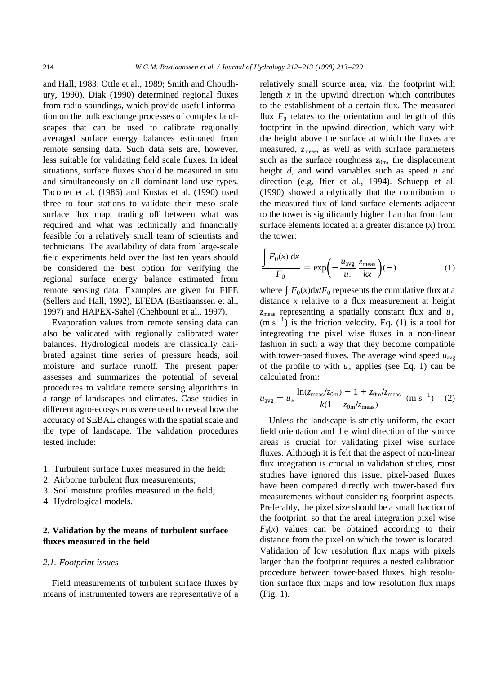$\epsilon$ 

and Hall, 1983; Ottle et al., 1989; Smith and Choudhury, 1990). Diak (1990) determined regional fluxes from radio soundings, which provide useful information on the bulk exchange processes of complex landscapes that can be used to calibrate regionally averaged surface energy balances estimated from remote sensing data. Such data sets are, however, less suitable for validating field scale fluxes. In ideal situations, surface fluxes should be measured in situ and simultaneously on all dominant land use types. Taconet et al. (1986) and Kustas et al. (1990) used three to four stations to validate their meso scale surface flux map, trading off between what was required and what was technically and financially feasible for a relatively small team of scientists and technicians. The availability of data from large-scale field experiments held over the last ten years should be considered the best option for verifying the regional surface energy balance estimated from remote sensing data. Examples are given for FIFE (Sellers and Hall, 1992), EFEDA (Bastiaanssen et al., 1997) and HAPEX-Sahel (Chehbouni et al., 1997).

Evaporation values from remote sensing data can also be validated with regionally calibrated water balances. Hydrological models are classically calibrated against time series of pressure heads, soil moisture and surface runoff. The present paper assesses and summarizes the potential of several procedures to validate remote sensing algorithms in a range of landscapes and climates. Case studies in different agro-ecosystems were used to reveal how the accuracy of SEBAL changes with the spatial scale and the type of landscape. The validation procedures tested include:

- 1. Turbulent surface fluxes measured in the field;
- 2. Airborne turbulent flux measurements;
- 3. Soil moisture profiles measured in the field;
- 4. Hydrological models.

#### **2. Validation by the means of turbulent surface fluxes measured in the field**

#### *2.1. Footprint issues*

Field measurements of turbulent surface fluxes by means of instrumented towers are representative of a relatively small source area, viz. the footprint with length  $x$  in the upwind direction which contributes to the establishment of a certain flux. The measured flux  $F_0$  relates to the orientation and length of this footprint in the upwind direction, which vary with the height above the surface at which the fluxes are measured,  $z_{\text{meas}}$ , as well as with surface parameters such as the surface roughness  $z_{0m}$ , the displacement height *d*, and wind variables such as speed *u* and direction (e.g. Itier et al., 1994). Schuepp et al. (1990) showed analytically that the contribution to the measured flux of land surface elements adjacent to the tower is significantly higher than that from land surface elements located at a greater distance (*x*) from the tower:

$$
\frac{\int F_0(x) dx}{F_0} = \exp\left(-\frac{u_{\text{avg}}}{u_*} \frac{z_{\text{meas}}}{kx}\right)(-)
$$
 (1)

where  $\int F_0(x) dx/F_0$  represents the cumulative flux at a distance  $x$  relative to a flux measurement at height *z*meas representing a spatially constant flux and *u*  $(m s<sup>-1</sup>)$  is the friction velocity. Eq. (1) is a tool for integreating the pixel wise fluxes in a non-linear fashion in such a way that they become compatible with tower-based fluxes. The average wind speed  $u_{\text{avg}}$ of the profile to with  $u_*$  applies (see Eq. 1) can be calculated from:

$$
u_{\text{avg}} = u_* \frac{\ln(z_{\text{meas}}/z_{\text{0m}}) - 1 + z_{\text{0m}}/z_{\text{meas}}}{k(1 - z_{\text{0m}}/z_{\text{meas}})} \quad (\text{m s}^{-1}) \quad (2)
$$

Unless the landscape is strictly uniform, the exact field orientation and the wind direction of the source areas is crucial for validating pixel wise surface fluxes. Although it is felt that the aspect of non-linear flux integration is crucial in validation studies, most studies have ignored this issue: pixel-based fluxes have been compared directly with tower-based flux measurements without considering footprint aspects. Preferably, the pixel size should be a small fraction of the footprint, so that the areal integration pixel wise  $F<sub>0</sub>(x)$  values can be obtained according to their distance from the pixel on which the tower is located. Validation of low resolution flux maps with pixels larger than the footprint requires a nested calibration procedure between tower-based fluxes, high resolution surface flux maps and low resolution flux maps (Fig. 1).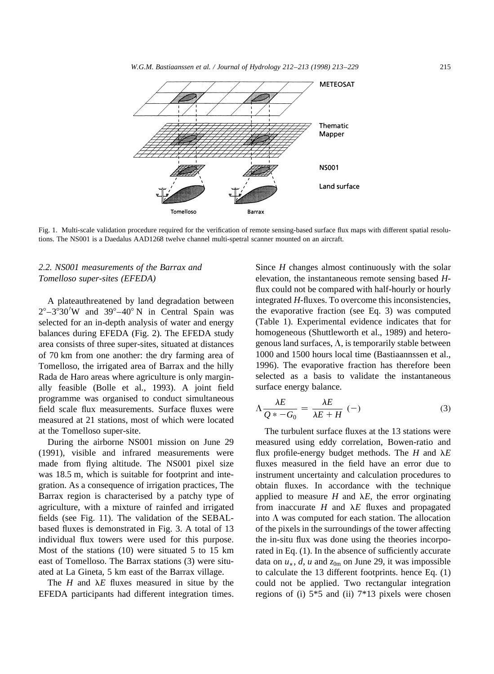

Fig. 1. Multi-scale validation procedure required for the verification of remote sensing-based surface flux maps with different spatial resolutions. The NS001 is a Daedalus AAD1268 twelve channel multi-spetral scanner mounted on an aircraft.

# *2.2. NS001 measurements of the Barrax and Tomelloso super-sites (EFEDA)*

A plateauthreatened by land degradation between  $2^{\circ}-3^{\circ}30'$ W and  $39^{\circ}-40^{\circ}$  N in Central Spain was selected for an in-depth analysis of water and energy balances during EFEDA (Fig. 2). The EFEDA study area consists of three super-sites, situated at distances of 70 km from one another: the dry farming area of Tomelloso, the irrigated area of Barrax and the hilly Rada de Haro areas where agriculture is only marginally feasible (Bolle et al., 1993). A joint field programme was organised to conduct simultaneous field scale flux measurements. Surface fluxes were measured at 21 stations, most of which were located at the Tomelloso super-site.

During the airborne NS001 mission on June 29 (1991), visible and infrared measurements were made from flying altitude. The NS001 pixel size was 18.5 m, which is suitable for footprint and integration. As a consequence of irrigation practices, The Barrax region is characterised by a patchy type of agriculture, with a mixture of rainfed and irrigated fields (see Fig. 11). The validation of the SEBALbased fluxes is demonstrated in Fig. 3. A total of 13 individual flux towers were used for this purpose. Most of the stations (10) were situated 5 to 15 km east of Tomelloso. The Barrax stations (3) were situated at La Gineta, 5 km east of the Barrax village.

The  $H$  and  $\lambda E$  fluxes measured in situe by the EFEDA participants had different integration times. Since *H* changes almost continuously with the solar elevation, the instantaneous remote sensing based *H*flux could not be compared with half-hourly or hourly integrated *H*-fluxes. To overcome this inconsistencies, the evaporative fraction (see Eq. 3) was computed (Table 1). Experimental evidence indicates that for homogeneous (Shuttleworth et al., 1989) and heterogenous land surfaces,  $\Lambda$ , is temporarily stable between 1000 and 1500 hours local time (Bastiaannssen et al., 1996). The evaporative fraction has therefore been selected as a basis to validate the instantaneous surface energy balance.

$$
\Lambda \frac{\lambda E}{Q * -G_0} = \frac{\lambda E}{\lambda E + H} \quad (-)
$$
\n(3)

The turbulent surface fluxes at the 13 stations were measured using eddy correlation, Bowen-ratio and flux profile-energy budget methods. The  $H$  and  $\lambda E$ fluxes measured in the field have an error due to instrument uncertainty and calculation procedures to obtain fluxes. In accordance with the technique applied to measure *H* and  $\lambda E$ , the error orginating from inaccurate  $H$  and  $\lambda E$  fluxes and propagated into  $\Lambda$  was computed for each station. The allocation of the pixels in the surroundings of the tower affecting the in-situ flux was done using the theories incorporated in Eq. (1). In the absence of sufficiently accurate data on  $u_*$ , *d*, *u* and  $z_{0m}$  on June 29, it was impossible to calculate the 13 different footprints. hence Eq. (1) could not be applied. Two rectangular integration regions of (i) 5\*5 and (ii) 7\*13 pixels were chosen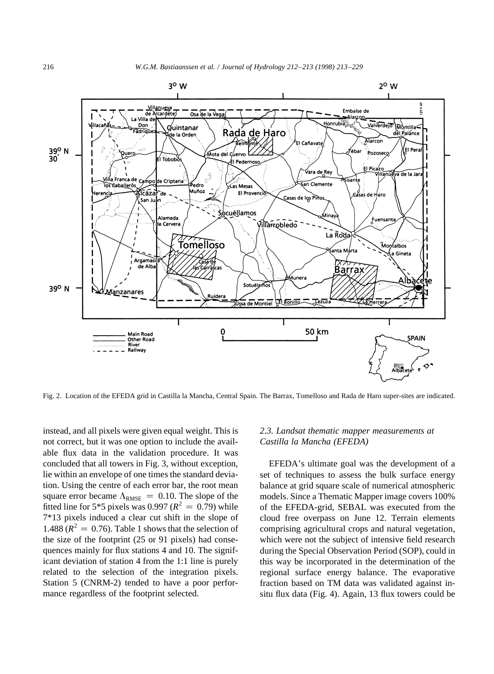

Fig. 2. Location of the EFEDA grid in Castilla la Mancha, Central Spain. The Barrax, Tomelloso and Rada de Haro super-sites are indicated.

instead, and all pixels were given equal weight. This is not correct, but it was one option to include the available flux data in the validation procedure. It was concluded that all towers in Fig. 3, without exception, lie within an envelope of one times the standard deviation. Using the centre of each error bar, the root mean square error became  $\Lambda_{\text{RMSE}} = 0.10$ . The slope of the fitted line for 5<sup>\*</sup>5 pixels was 0.997 ( $R^2 = 0.79$ ) while 7\*13 pixels induced a clear cut shift in the slope of 1.488 ( $R^2 = 0.76$ ). Table 1 shows that the selection of the size of the footprint (25 or 91 pixels) had consequences mainly for flux stations 4 and 10. The significant deviation of station 4 from the 1:1 line is purely related to the selection of the integration pixels. Station 5 (CNRM-2) tended to have a poor performance regardless of the footprint selected.

#### *2.3. Landsat thematic mapper measurements at Castilla la Mancha (EFEDA)*

EFEDA's ultimate goal was the development of a set of techniques to assess the bulk surface energy balance at grid square scale of numerical atmospheric models. Since a Thematic Mapper image covers 100% of the EFEDA-grid, SEBAL was executed from the cloud free overpass on June 12. Terrain elements comprising agricultural crops and natural vegetation, which were not the subject of intensive field research during the Special Observation Period (SOP), could in this way be incorporated in the determination of the regional surface energy balance. The evaporative fraction based on TM data was validated against insitu flux data (Fig. 4). Again, 13 flux towers could be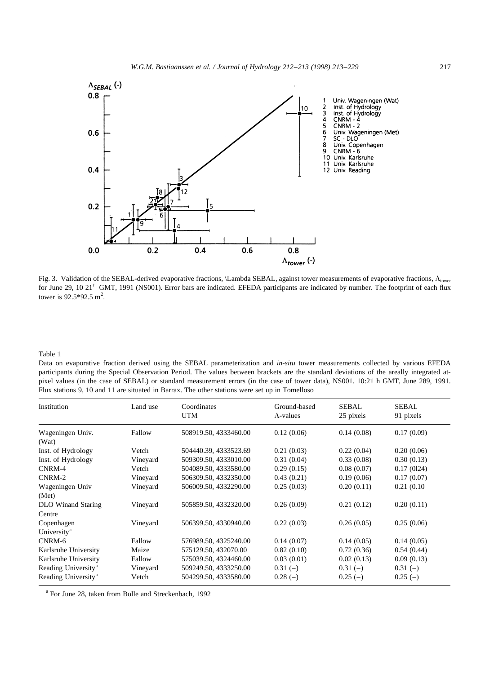

Fig. 3. Validation of the SEBAL-derived evaporative fractions, \Lambda SEBAL, against tower measurements of evaporative fractions,  $\Lambda_{\text{lower}}$ for June 29, 10 21' GMT, 1991 (NS001). Error bars are indicated. EFEDA participants are indicated by number. The footprint of each flux tower is  $92.5*92.5 \text{ m}^2$ .

Table 1

Data on evaporative fraction derived using the SEBAL parameterization and *in-situ* tower measurements collected by various EFEDA participants during the Special Observation Period. The values between brackets are the standard deviations of the areally integrated atpixel values (in the case of SEBAL) or standard measurement errors (in the case of tower data), NS001. 10:21 h GMT, June 289, 1991. Flux stations 9, 10 and 11 are situated in Barrax. The other stations were set up in Tomelloso

| Institution                     | Land use | Coordinates<br>UTM    | Ground-based<br>$\Lambda$ -values | <b>SEBAL</b><br>25 pixels | <b>SEBAL</b><br>91 pixels |
|---------------------------------|----------|-----------------------|-----------------------------------|---------------------------|---------------------------|
| Wageningen Univ.                | Fallow   | 508919.50, 4333460.00 | 0.12(0.06)                        | 0.14(0.08)                | 0.17(0.09)                |
| (Wat)                           |          |                       |                                   |                           |                           |
| Inst. of Hydrology              | Vetch    | 504440.39, 4333523.69 | 0.21(0.03)                        | 0.22(0.04)                | 0.20(0.06)                |
| Inst. of Hydrology              | Vineyard | 509309.50, 4333010.00 | 0.31(0.04)                        | 0.33(0.08)                | 0.30(0.13)                |
| CNRM-4                          | Vetch    | 504089.50, 4333580.00 | 0.29(0.15)                        | 0.08(0.07)                | 0.17(0124)                |
| CNRM-2                          | Vineyard | 506309.50, 4332350.00 | 0.43(0.21)                        | 0.19(0.06)                | 0.17(0.07)                |
| Wageningen Univ                 | Vineyard | 506009.50, 4332290.00 | 0.25(0.03)                        | 0.20(0.11)                | 0.21(0.10)                |
| (Met)                           |          |                       |                                   |                           |                           |
| DLO Winand Staring              | Vineyard | 505859.50, 4332320.00 | 0.26(0.09)                        | 0.21(0.12)                | 0.20(0.11)                |
| Centre                          |          |                       |                                   |                           |                           |
| Copenhagen                      | Vineyard | 506399.50, 4330940.00 | 0.22(0.03)                        | 0.26(0.05)                | 0.25(0.06)                |
| University <sup>a</sup>         |          |                       |                                   |                           |                           |
| CNRM-6                          | Fallow   | 576989.50, 4325240.00 | 0.14(0.07)                        | 0.14(0.05)                | 0.14(0.05)                |
| Karlsruhe University            | Maize    | 575129.50, 432070.00  | 0.82(0.10)                        | 0.72(0.36)                | 0.54(0.44)                |
| Karlsruhe University            | Fallow   | 575039.50, 4324460.00 | 0.03(0.01)                        | 0.02(0.13)                | 0.09(0.13)                |
| Reading University <sup>a</sup> | Vineyard | 509249.50, 4333250.00 | $0.31(-)$                         | $0.31(-)$                 | $0.31(-)$                 |
| Reading University <sup>a</sup> | Vetch    | 504299.50, 4333580.00 | $0.28(-)$                         | $0.25(-)$                 | $0.25(-)$                 |

<sup>a</sup> For June 28, taken from Bolle and Streckenbach, 1992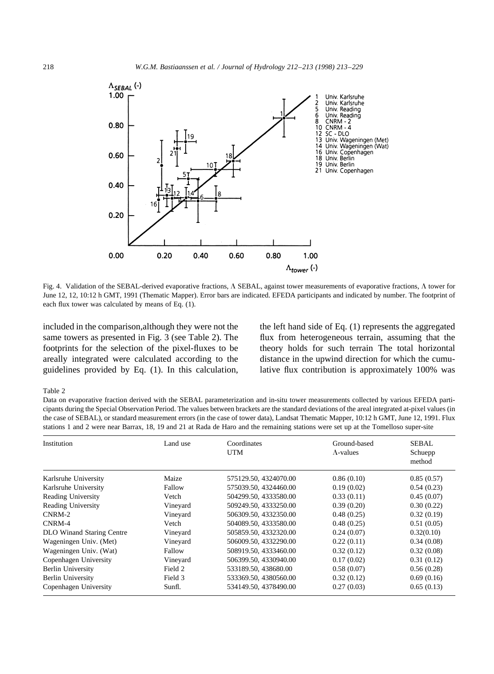

Fig. 4. Validation of the SEBAL-derived evaporative fractions,  $\Lambda$  SEBAL, against tower measurements of evaporative fractions,  $\Lambda$  tower for June 12, 12, 10:12 h GMT, 1991 (Thematic Mapper). Error bars are indicated. EFEDA participants and indicated by number. The footprint of each flux tower was calculated by means of Eq. (1).

included in the comparison,although they were not the same towers as presented in Fig. 3 (see Table 2). The footprints for the selection of the pixel-fluxes to be areally integrated were calculated according to the guidelines provided by Eq. (1). In this calculation, the left hand side of Eq. (1) represents the aggregated flux from heterogeneous terrain, assuming that the theory holds for such terrain The total horizontal distance in the upwind direction for which the cumulative flux contribution is approximately 100% was

#### Table 2

Data on evaporative fraction derived with the SEBAL parameterization and in-situ tower measurements collected by various EFEDA participants during the Special Observation Period. The values between brackets are the standard deviations of the areal integrated at-pixel values (in the case of SEBAL), or standard measurement errors (in the case of tower data), Landsat Thematic Mapper, 10:12 h GMT, June 12, 1991. Flux stations 1 and 2 were near Barrax, 18, 19 and 21 at Rada de Haro and the remaining stations were set up at the Tomelloso super-site

| Institution                      | Land use | Coordinates<br><b>UTM</b> | Ground-based<br>$\Lambda$ -values | <b>SEBAL</b><br>Schuepp<br>method |
|----------------------------------|----------|---------------------------|-----------------------------------|-----------------------------------|
| Karlsruhe University             | Maize    | 575129.50, 4324070.00     | 0.86(0.10)                        | 0.85(0.57)                        |
| Karlsruhe University             | Fallow   | 575039.50, 4324460.00     | 0.19(0.02)                        | 0.54(0.23)                        |
| Reading University               | Vetch    | 504299.50, 4333580.00     | 0.33(0.11)                        | 0.45(0.07)                        |
| <b>Reading University</b>        | Vineyard | 509249.50, 4333250.00     | 0.39(0.20)                        | 0.30(0.22)                        |
| $CNRM-2$                         | Vineyard | 506309.50, 4332350.00     | 0.48(0.25)                        | 0.32(0.19)                        |
| CNRM-4                           | Vetch    | 504089.50, 4333580.00     | 0.48(0.25)                        | 0.51(0.05)                        |
| <b>DLO</b> Winand Staring Centre | Vineyard | 505859.50, 4332320.00     | 0.24(0.07)                        | 0.32(0.10)                        |
| Wageningen Univ. (Met)           | Vineyard | 506009.50, 4332290.00     | 0.22(0.11)                        | 0.34(0.08)                        |
| Wageningen Univ. (Wat)           | Fallow   | 508919.50, 4333460.00     | 0.32(0.12)                        | 0.32(0.08)                        |
| Copenhagen University            | Vineyard | 506399.50, 4330940.00     | 0.17(0.02)                        | 0.31(0.12)                        |
| <b>Berlin University</b>         | Field 2  | 533189.50, 438680.00      | 0.58(0.07)                        | 0.56(0.28)                        |
| <b>Berlin University</b>         | Field 3  | 533369.50, 4380560.00     | 0.32(0.12)                        | 0.69(0.16)                        |
| Copenhagen University            | Sunfl.   | 534149.50, 4378490.00     | 0.27(0.03)                        | 0.65(0.13)                        |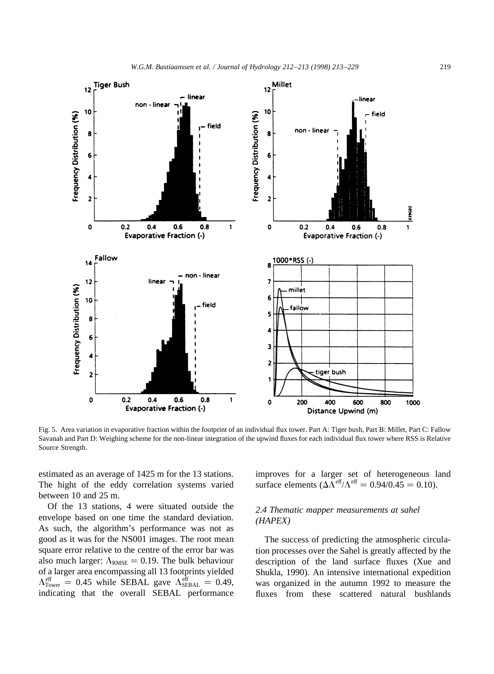

Fig. 5. Area variation in evaporative fraction within the footprint of an individual flux tower. Part A: Tiger bush, Part B: Millet, Part C: Fallow Savanah and Part D: Weighing scheme for the non-linear integration of the upwind fluxes for each individual flux tower where RSS is Relative Source Strength.

estimated as an average of 1425 m for the 13 stations. The hight of the eddy correlation systems varied between 10 and 25 m.

Of the 13 stations, 4 were situated outside the envelope based on one time the standard deviation. As such, the algorithm's performance was not as good as it was for the NS001 images. The root mean square error relative to the centre of the error bar was also much larger:  $\Lambda_{\text{RMSE}} = 0.19$ . The bulk behaviour of a larger area encompassing all 13 footprints yielded  $\Lambda_{\text{Tower}}^{\text{eff}} = 0.45$  while SEBAL gave  $\Lambda_{\text{SEBAL}}^{\text{eff}} = 0.49$ , indicating that the overall SEBAL performance improves for a larger set of heterogeneous land surface elements  $(\Delta \tilde{\Lambda}^{\text{eff}}/\Lambda^{\text{eff}} = 0.94/0.45 = 0.10)$ .

# *2.4 Thematic mapper measurements at sahel (HAPEX)*

The success of predicting the atmospheric circulation processes over the Sahel is greatly affected by the description of the land surface fluxes (Xue and Shukla, 1990). An intensive international expedition was organized in the autumn 1992 to measure the fluxes from these scattered natural bushlands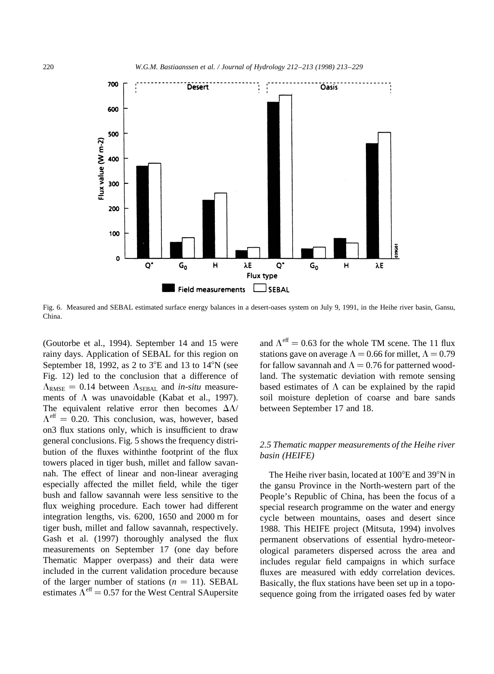

Fig. 6. Measured and SEBAL estimated surface energy balances in a desert-oases system on July 9, 1991, in the Heihe river basin, Gansu, China.

(Goutorbe et al., 1994). September 14 and 15 were rainy days. Application of SEBAL for this region on September 18, 1992, as 2 to  $3^{\circ}E$  and 13 to  $14^{\circ}N$  (see Fig. 12) led to the conclusion that a difference of  $\Lambda_{\text{RMSE}} = 0.14$  between  $\Lambda_{\text{SEBAL}}$  and *in-situ* measurements of  $\Lambda$  was unavoidable (Kabat et al., 1997). The equivalent relative error then becomes  $\Delta\Lambda$ /  $\Lambda^{\text{eff}} = 0.20$ . This conclusion, was, however, based on3 flux stations only, which is insufficient to draw general conclusions. Fig. 5 shows the frequency distribution of the fluxes withinthe footprint of the flux towers placed in tiger bush, millet and fallow savannah. The effect of linear and non-linear averaging especially affected the millet field, while the tiger bush and fallow savannah were less sensitive to the flux weighing procedure. Each tower had different integration lengths, vis. 6200, 1650 and 2000 m for tiger bush, millet and fallow savannah, respectively. Gash et al. (1997) thoroughly analysed the flux measurements on September 17 (one day before Thematic Mapper overpass) and their data were included in the current validation procedure because of the larger number of stations  $(n = 11)$ . SEBAL estimates  $\Lambda^{\text{eff}} = 0.57$  for the West Central SAupersite and  $\Lambda^{\text{eff}} = 0.63$  for the whole TM scene. The 11 flux stations gave on average  $\Lambda = 0.66$  for millet,  $\Lambda = 0.79$ for fallow savannah and  $\Lambda = 0.76$  for patterned woodland. The systematic deviation with remote sensing based estimates of  $\Lambda$  can be explained by the rapid soil moisture depletion of coarse and bare sands between September 17 and 18.

#### *2.5 Thematic mapper measurements of the Heihe river basin (HEIFE)*

The Heihe river basin, located at  $100^{\circ}$ E and 39 $^{\circ}$ N in the gansu Province in the North-western part of the People's Republic of China, has been the focus of a special research programme on the water and energy cycle between mountains, oases and desert since 1988. This HEIFE project (Mitsuta, 1994) involves permanent observations of essential hydro-meteorological parameters dispersed across the area and includes regular field campaigns in which surface fluxes are measured with eddy correlation devices. Basically, the flux stations have been set up in a toposequence going from the irrigated oases fed by water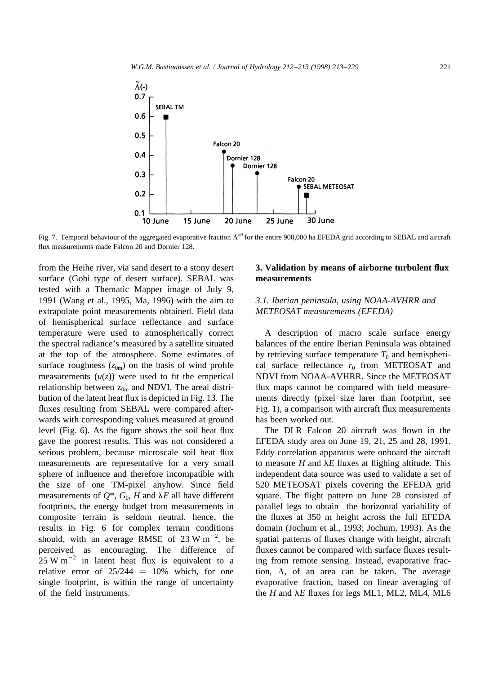

Fig. 7. Temporal behaviour of the aggregated evaporative fraction  $\Lambda^{eff}$  for the entire 900,000 ha EFEDA grid according to SEBAL and aircraft flux measurements made Falcon 20 and Dornier 128.

from the Heihe river, via sand desert to a stony desert surface (Gobi type of desert surface). SEBAL was tested with a Thematic Mapper image of July 9, 1991 (Wang et al., 1995, Ma, 1996) with the aim to extrapolate point measurements obtained. Field data of hemispherical surface reflectance and surface temperature were used to atmospherically correct the spectral radiance's measured by a satellite situated at the top of the atmosphere. Some estimates of surface roughness  $(z_{0m})$  on the basis of wind profile measurements  $(u(z))$  were used to fit the emperical relationship between  $z_{0m}$  and NDVI. The areal distribution of the latent heat flux is depicted in Fig. 13. The fluxes resulting from SEBAL were compared afterwards with corresponding values measured at ground level (Fig. 6). As the figure shows the soil heat flux gave the poorest results. This was not considered a serious problem, because microscale soil heat flux measurements are representative for a very small sphere of influence and therefore incompatible with the size of one TM-pixel anyhow. Since field measurements of  $Q^*$ ,  $G_0$ , *H* and  $\lambda E$  all have different footprints, the energy budget from measurements in composite terrain is seldom neutral. hence, the results in Fig. 6 for complex terrain conditions should, with an average RMSE of  $23 \text{ W m}^{-2}$ , be perceived as encouraging. The difference of  $25 \text{ W m}^{-2}$  in latent heat flux is equivalent to a relative error of  $25/244 = 10%$  which, for one single footprint, is within the range of uncertainty of the field instruments.

## **3. Validation by means of airborne turbulent flux measurements**

# *3.1. Iberian peninsula, using NOAA-AVHRR and METEOSAT measurements (EFEDA)*

A description of macro scale surface energy balances of the entire Iberian Peninsula was obtained by retrieving surface temperature  $T_0$  and hemispherical surface reflectance  $r_0$  from METEOSAT and NDVI from NOAA-AVHRR. Since the METEOSAT flux maps cannot be compared with field measurements directly (pixel size larer than footprint, see Fig. 1), a comparison with aircraft flux measurements has been worked out.

The DLR Falcon 20 aircraft was flown in the EFEDA study area on June 19, 21, 25 and 28, 1991. Eddy correlation apparatus were onboard the aircraft to measure  $H$  and  $\lambda E$  fluxes at flighing altitude. This independent data source was used to validate a set of 520 METEOSAT pixels covering the EFEDA grid square. The flight pattern on June 28 consisted of parallel legs to obtain the horizontal variability of the fluxes at 350 m height across the full EFEDA domain (Jochum et al., 1993; Jochum, 1993). As the spatial patterns of fluxes change with height, aircraft fluxes cannot be compared with surface fluxes resulting from remote sensing. Instead, evaporative fraction,  $\Lambda$ , of an area can be taken. The average evaporative fraction, based on linear averaging of the  $H$  and  $\lambda E$  fluxes for legs ML1, ML2, ML4, ML6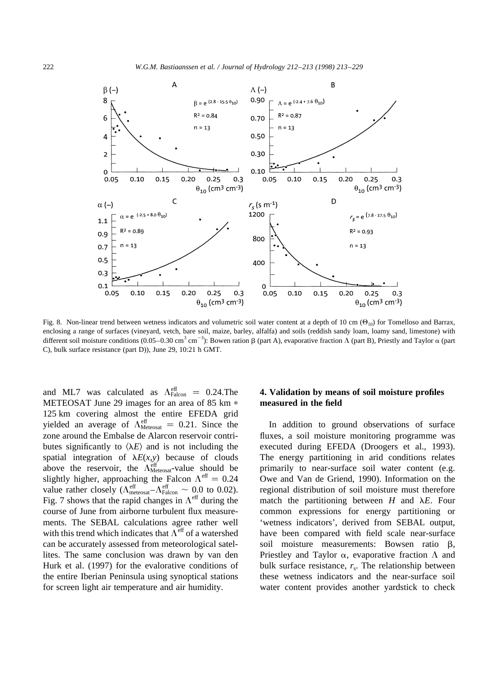

Fig. 8. Non-linear trend between wetness indicators and volumetric soil water content at a depth of 10 cm  $(\Theta_{10})$  for Tomelloso and Barrax, enclosing a range of surfaces (vineyard, vetch, bare soil, maize, barley, alfalfa) and soils (reddish sandy loam, loamy sand, limestone) with different soil moisture conditions (0.05–0.30 cm<sup>3</sup> cm<sup>-3</sup>): Bowen ration  $\beta$  (part A), evaporative fraction  $\Lambda$  (part B), Priestly and Taylor  $\alpha$  (part C), bulk surface resistance (part D)), June 29, 10:21 h GMT.

and ML7 was calculated as  $\Lambda_{\text{Falcon}}^{\text{eff}} = 0.24$ . The METEOSAT June 29 images for an area of 85 km  $*$ 125 km covering almost the entire EFEDA grid yielded an average of  $\Lambda_{\text{Metesast}}^{\text{eff}} = 0.21$ . Since the zone around the Embalse de Alarcon reservoir contributes significantly to  $\langle \lambda E \rangle$  and is not including the spatial integration of  $\lambda E(x, y)$  because of clouds above the reservoir, the  $\Lambda_{\text{Metesast}}^{\text{eff}}$ -value should be slightly higher, approaching the Falcon  $\Lambda^{\text{eff}} = 0.24$ value rather closely ( $\Lambda_{\text{metesast}}^{\text{eff}} - \Lambda_{\text{Falcon}}^{\text{eff}} \sim 0.0$  to 0.02). Fig. 7 shows that the rapid changes in  $\Lambda^{\text{eff}}$  during the course of June from airborne turbulent flux measurements. The SEBAL calculations agree rather well with this trend which indicates that  $\Lambda^{\text{eff}}$  of a watershed can be accurately assessed from meteorological satellites. The same conclusion was drawn by van den Hurk et al. (1997) for the evalorative conditions of the entire Iberian Peninsula using synoptical stations for screen light air temperature and air humidity.

# **4. Validation by means of soil moisture profiles measured in the field**

In addition to ground observations of surface fluxes, a soil moisture monitoring programme was executed during EFEDA (Droogers et al., 1993). The energy partitioning in arid conditions relates primarily to near-surface soil water content (e.g. Owe and Van de Griend, 1990). Information on the regional distribution of soil moisture must therefore match the partitioning between  $H$  and  $\lambda E$ . Four common expressions for energy partitioning or 'wetness indicators', derived from SEBAL output, have been compared with field scale near-surface soil moisture measurements: Bowsen ratio  $\beta$ , Priestley and Taylor  $\alpha$ , evaporative fraction  $\Lambda$  and bulk surface resistance,  $r_s$ . The relationship between these wetness indicators and the near-surface soil water content provides another yardstick to check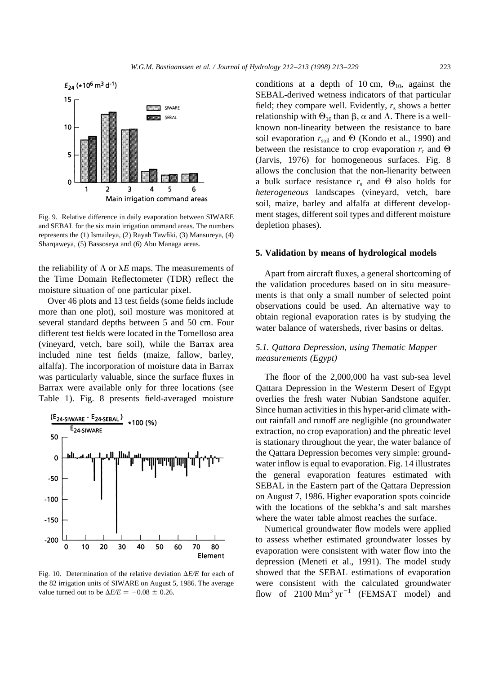

Fig. 9. Relative difference in daily evaporation between SIWARE and SEBAL for the six main irrigation ommand areas. The numbers represents the (1) Ismaileya, (2) Rayah Tawfiki, (3) Mansureya, (4) Sharqaweya, (5) Bassoseya and (6) Abu Managa areas.

the reliability of  $\Lambda$  or  $\lambda E$  maps. The measurements of the Time Domain Reflectometer (TDR) reflect the moisture situation of one particular pixel.

Over 46 plots and 13 test fields (some fields include more than one plot), soil mosture was monitored at several standard depths between 5 and 50 cm. Four different test fields were located in the Tomelloso area (vineyard, vetch, bare soil), while the Barrax area included nine test fields (maize, fallow, barley, alfalfa). The incorporation of moisture data in Barrax was particularly valuable, since the surface fluxes in Barrax were available only for three locations (see Table 1). Fig. 8 presents field-averaged moisture



Fig. 10. Determination of the relative deviation  $\Delta E/E$  for each of the 82 irrigation units of SIWARE on August 5, 1986. The average value turned out to be  $\Delta E/E = -0.08 \pm 0.26$ .

conditions at a depth of 10 cm,  $\Theta_{10}$ , against the SEBAL-derived wetness indicators of that particular field; they compare well. Evidently,  $r_s$  shows a better relationship with  $\Theta_{10}$  than  $\beta$ ,  $\alpha$  and  $\Lambda$ . There is a wellknown non-linearity between the resistance to bare soil evaporation  $r_{\text{solid}}$  and  $\Theta$  (Kondo et al., 1990) and between the resistance to crop evaporation  $r_c$  and  $\Theta$ (Jarvis, 1976) for homogeneous surfaces. Fig. 8 allows the conclusion that the non-lienarity between a bulk surface resistance  $r_s$  and  $\Theta$  also holds for *heterogeneous* landscapes (vineyard, vetch, bare soil, maize, barley and alfalfa at different development stages, different soil types and different moisture depletion phases).

#### **5. Validation by means of hydrological models**

Apart from aircraft fluxes, a general shortcoming of the validation procedures based on in situ measurements is that only a small number of selected point observations could be used. An alternative way to obtain regional evaporation rates is by studying the water balance of watersheds, river basins or deltas.

#### *5.1. Qattara Depression, using Thematic Mapper measurements (Egypt)*

The floor of the 2,000,000 ha vast sub-sea level Qattara Depression in the Westerm Desert of Egypt overlies the fresh water Nubian Sandstone aquifer. Since human activities in this hyper-arid climate without rainfall and runoff are negligible (no groundwater extraction, no crop evaporation) and the phreatic level is stationary throughout the year, the water balance of the Qattara Depression becomes very simple: groundwater inflow is equal to evaporation. Fig. 14 illustrates the general evaporation features estimated with SEBAL in the Eastern part of the Qattara Depression on August 7, 1986. Higher evaporation spots coincide with the locations of the sebkha's and salt marshes where the water table almost reaches the surface.

Numerical groundwater flow models were applied to assess whether estimated groundwater losses by evaporation were consistent with water flow into the depression (Meneti et al., 1991). The model study showed that the SEBAL estimations of evaporation were consistent with the calculated groundwater flow of  $2100 \text{ Mm}^3 \text{ yr}^{-1}$  (FEMSAT model) and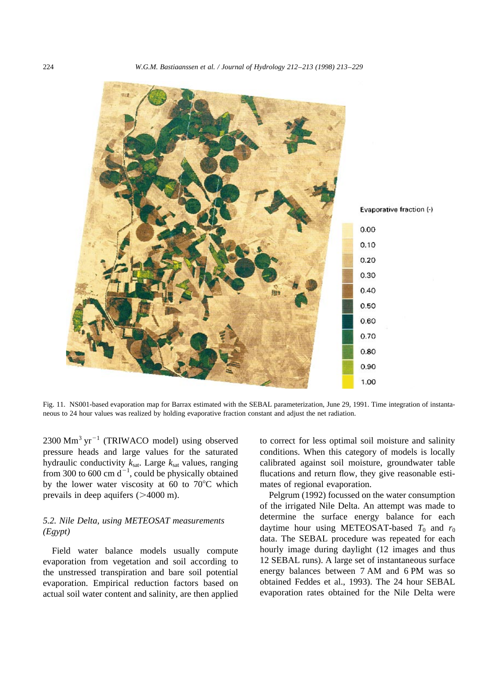

Fig. 11. NS001-based evaporation map for Barrax estimated with the SEBAL parameterization, June 29, 1991. Time integration of instantaneous to 24 hour values was realized by holding evaporative fraction constant and adjust the net radiation.

 $2300$  Mm<sup>3</sup> yr<sup>-1</sup> (TRIWACO model) using observed pressure heads and large values for the saturated hydraulic conductivity  $k_{\text{sat}}$ . Large  $k_{\text{sat}}$  values, ranging from 300 to 600 cm  $d^{-1}$ , could be physically obtained by the lower water viscosity at 60 to  $70^{\circ}$ C which prevails in deep aquifers  $(>4000 \text{ m})$ .

## *5.2. Nile Delta, using METEOSAT measurements (Egypt)*

Field water balance models usually compute evaporation from vegetation and soil according to the unstressed transpiration and bare soil potential evaporation. Empirical reduction factors based on actual soil water content and salinity, are then applied to correct for less optimal soil moisture and salinity conditions. When this category of models is locally calibrated against soil moisture, groundwater table flucations and return flow, they give reasonable estimates of regional evaporation.

Pelgrum (1992) focussed on the water consumption of the irrigated Nile Delta. An attempt was made to determine the surface energy balance for each daytime hour using METEOSAT-based  $T_0$  and  $r_0$ data. The SEBAL procedure was repeated for each hourly image during daylight (12 images and thus 12 SEBAL runs). A large set of instantaneous surface energy balances between 7 AM and 6 PM was so obtained Feddes et al., 1993). The 24 hour SEBAL evaporation rates obtained for the Nile Delta were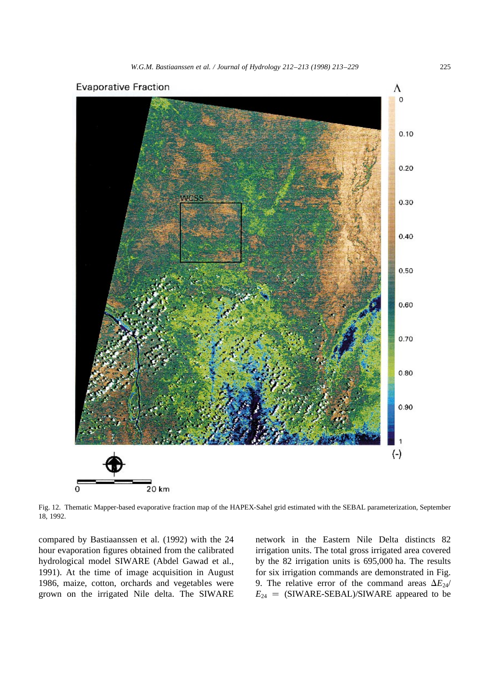



Fig. 12. Thematic Mapper-based evaporative fraction map of the HAPEX-Sahel grid estimated with the SEBAL parameterization, September 18, 1992.

compared by Bastiaanssen et al. (1992) with the 24 hour evaporation figures obtained from the calibrated hydrological model SIWARE (Abdel Gawad et al., 1991). At the time of image acquisition in August 1986, maize, cotton, orchards and vegetables were grown on the irrigated Nile delta. The SIWARE network in the Eastern Nile Delta distincts 82 irrigation units. The total gross irrigated area covered by the 82 irrigation units is 695,000 ha. The results for six irrigation commands are demonstrated in Fig. 9. The relative error of the command areas  $\Delta E_{24}$  $E_{24}$  = (SIWARE-SEBAL)/SIWARE appeared to be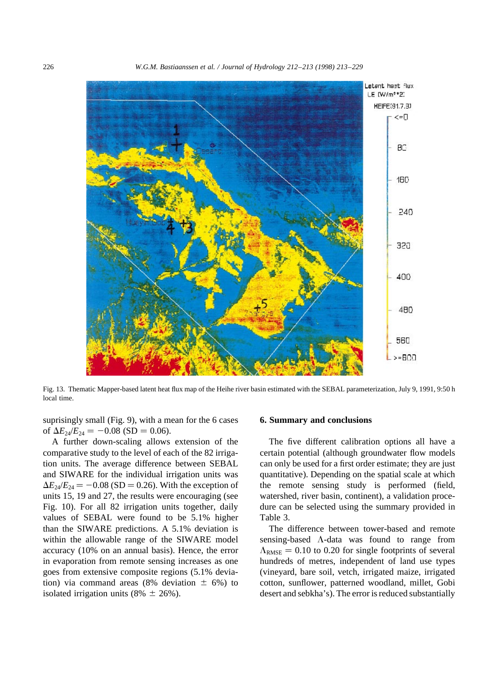226 *W.G.M. Bastiaanssen et al. / Journal of Hydrology 212–213 (1998) 213–229*



Fig. 13. Thematic Mapper-based latent heat flux map of the Heihe river basin estimated with the SEBAL parameterization, July 9, 1991, 9:50 h local time.

suprisingly small (Fig. 9), with a mean for the 6 cases of  $\Delta E_{24}/E_{24} = -0.08$  (SD = 0.06).

A further down-scaling allows extension of the comparative study to the level of each of the 82 irrigation units. The average difference between SEBAL and SIWARE for the individual irrigation units was  $\Delta E_{24}/E_{24} = -0.08$  (SD = 0.26). With the exception of units 15, 19 and 27, the results were encouraging (see Fig. 10). For all 82 irrigation units together, daily values of SEBAL were found to be 5.1% higher than the SIWARE predictions. A 5.1% deviation is within the allowable range of the SIWARE model accuracy (10% on an annual basis). Hence, the error in evaporation from remote sensing increases as one goes from extensive composite regions (5.1% deviation) via command areas (8% deviation  $\pm$  6%) to isolated irrigation units (8%  $\pm$  26%).

#### **6. Summary and conclusions**

The five different calibration options all have a certain potential (although groundwater flow models can only be used for a first order estimate; they are just quantitative). Depending on the spatial scale at which the remote sensing study is performed (field, watershed, river basin, continent), a validation procedure can be selected using the summary provided in Table 3.

The difference between tower-based and remote sensing-based  $\Lambda$ -data was found to range from  $\Lambda_{\rm RMSE} = 0.10$  to 0.20 for single footprints of several hundreds of metres, independent of land use types (vineyard, bare soil, vetch, irrigated maize, irrigated cotton, sunflower, patterned woodland, millet, Gobi desert and sebkha's). The error is reduced substantially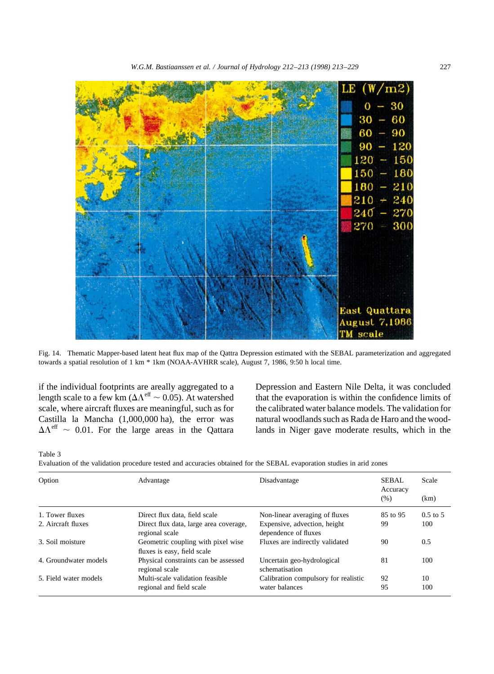

Fig. 14. Thematic Mapper-based latent heat flux map of the Qattra Depression estimated with the SEBAL parameterization and aggregated towards a spatial resolution of 1 km \* 1km (NOAA-AVHRR scale), August 7, 1986, 9:50 h local time.

if the individual footprints are areally aggregated to a length scale to a few km ( $\Delta \Lambda^{\text{eff}} \sim 0.05$ ). At watershed scale, where aircraft fluxes are meaningful, such as for Castilla la Mancha (1,000,000 ha), the error was  $\Delta\Lambda^{\rm eff}$  ~ 0.01. For the large areas in the Qattara Depression and Eastern Nile Delta, it was concluded that the evaporation is within the confidence limits of the calibrated water balance models. The validation for natural woodlands such as Rada de Haro and the woodlands in Niger gave moderate results, which in the

Table 3

Evaluation of the validation procedure tested and accuracies obtained for the SEBAL evaporation studies in arid zones

| Option                | Advantage                                                         | Disadvantage                                         | SEBAL.<br>Accuracy | Scale               |
|-----------------------|-------------------------------------------------------------------|------------------------------------------------------|--------------------|---------------------|
|                       |                                                                   |                                                      | (% )               | (km)                |
| 1. Tower fluxes       | Direct flux data, field scale                                     | Non-linear averaging of fluxes                       | 85 to 95           | $0.5 \text{ to } 5$ |
| 2. Aircraft fluxes    | Direct flux data, large area coverage,<br>regional scale          | Expensive, advection, height<br>dependence of fluxes |                    | 100                 |
| 3. Soil moisture      | Geometric coupling with pixel wise<br>fluxes is easy, field scale | Fluxes are indirectly validated                      | 90                 | 0.5                 |
| 4. Groundwater models | Physical constraints can be assessed<br>regional scale            | Uncertain geo-hydrological<br>schematisation         | 81                 | 100                 |
| 5. Field water models | Multi-scale validation feasible                                   | Calibration compulsory for realistic                 | 92                 | 10                  |
|                       | regional and field scale                                          | water balances                                       | 95                 | 100                 |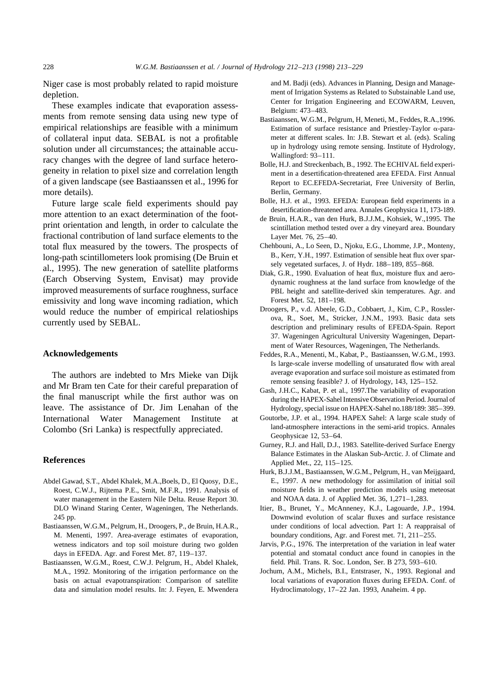Niger case is most probably related to rapid moisture depletion.

These examples indicate that evaporation assessments from remote sensing data using new type of empirical relationships are feasible with a minimum of collateral input data. SEBAL is not a profitable solution under all circumstances; the attainable accuracy changes with the degree of land surface heterogeneity in relation to pixel size and correlation length of a given landscape (see Bastiaanssen et al., 1996 for more details).

Future large scale field experiments should pay more attention to an exact determination of the footprint orientation and length, in order to calculate the fractional contribution of land surface elements to the total flux measured by the towers. The prospects of long-path scintillometers look promising (De Bruin et al., 1995). The new generation of satellite platforms (Earch Observing System, Envisat) may provide improved measurements of surface roughness, surface emissivity and long wave incoming radiation, which would reduce the number of empirical relatioships currently used by SEBAL.

#### **Acknowledgements**

The authors are indebted to Mrs Mieke van Dijk and Mr Bram ten Cate for their careful preparation of the final manuscript while the first author was on leave. The assistance of Dr. Jim Lenahan of the International Water Management Institute at Colombo (Sri Lanka) is respectfully appreciated.

#### **References**

- Abdel Gawad, S.T., Abdel Khalek, M.A.,Boels, D., El Quosy, D.E., Roest, C.W.J., Rijtema P.E., Smit, M.F.R., 1991. Analysis of water management in the Eastern Nile Delta. Reuse Report 30. DLO Winand Staring Center, Wageningen, The Netherlands. 245 pp.
- Bastiaanssen, W.G.M., Pelgrum, H., Droogers, P., de Bruin, H.A.R., M. Menenti, 1997. Area-average estimates of evaporation, wetness indicators and top soil moisture during two golden days in EFEDA. Agr. and Forest Met. 87, 119–137.
- Bastiaanssen, W.G.M., Roest, C.W.J. Pelgrum, H., Abdel Khalek, M.A., 1992. Monitoring of the irrigation performance on the basis on actual evapotranspiration: Comparison of satellite data and simulation model results. In: J. Feyen, E. Mwendera

and M. Badji (eds). Advances in Planning, Design and Management of Irrigation Systems as Related to Substainable Land use, Center for Irrigation Engineering and ECOWARM, Leuven, Belgium: 473–483.

- Bastiaanssen, W.G.M., Pelgrum, H, Meneti, M., Feddes, R.A.,1996. Estimation of surface resistance and Priestley-Taylor  $\alpha$ -parameter at different scales. In: J.B. Stewart et al. (eds). Scaling up in hydrology using remote sensing. Institute of Hydrology, Wallingford: 93–111.
- Bolle, H.J. and Streckenbach, B., 1992. The ECHIVAL field experiment in a desertification-threatened area EFEDA. First Annual Report to EC.EFEDA-Secretariat, Free University of Berlin, Berlin, Germany.
- Bolle, H.J. et al., 1993. EFEDA: European field experiments in a desertification-threatened area. Annales Geophysica 11, 173-189.
- de Bruin, H.A.R., van den Hurk, B.J.J.M., Kohsiek, W.,1995. The scintillation method tested over a dry vineyard area. Boundary Layer Met. 76, 25–40.
- Chehbouni, A., Lo Seen, D., Njoku, E.G., Lhomme, J.P., Monteny, B., Kerr, Y.H., 1997. Estimation of sensible heat flux over sparsely vegetated surfaces, J. of Hydr. 188–189, 855–868.
- Diak, G.R., 1990. Evaluation of heat flux, moisture flux and aerodynamic roughness at the land surface from knowledge of the PBL height and satellite-derived skin temperatures. Agr. and Forest Met. 52, 181–198.
- Droogers, P., v.d. Abeele, G.D., Cobbaert, J., Kim, C.P., Rosslerova, R., Soet, M., Stricker, J.N.M., 1993. Basic data sets description and preliminary results of EFEDA-Spain. Report 37. Wageningen Agricultural University Wageningen, Department of Water Resources, Wageningen, The Netherlands.
- Feddes, R.A., Menenti, M., Kabat, P., Bastiaanssen, W.G.M., 1993. Is large-scale inverse modelling of unsaturated flow with areal average evaporation and surface soil moisture as estimated from remote sensing feasible? J. of Hydrology, 143, 125–152.
- Gash, J.H.C., Kabat, P. et al., 1997.The variability of evaporation during the HAPEX-Sahel Intensive Observation Period. Journal of Hydrology, special issue on HAPEX-Sahel no.188/189: 385–399.
- Goutorbe, J.P. et al., 1994. HAPEX Sahel: A large scale study of land-atmosphere interactions in the semi-arid tropics. Annales Geophysicae 12, 53–64.
- Gurney, R.J. and Hall, D.J., 1983. Satellite-derived Surface Energy Balance Estimates in the Alaskan Sub-Arctic. J. of Climate and Applied Met., 22, 115–125.
- Hurk, B.J.J.M., Bastiaanssen, W.G.M., Pelgrum, H., van Meijgaard, E., 1997. A new methodology for assimilation of initial soil moisture fields in weather prediction models using meteosat and NOAA data. J. of Applied Met. 36, 1,271–1,283.
- Itier, B., Brunet, Y., McAnneney, K.J., Lagouarde, J.P., 1994. Downwind evolution of scalar fluxes and surface resistance under conditions of local advection. Part 1: A reappraisal of boundary conditions, Agr. and Forest met. 71, 211–255.
- Jarvis, P.G., 1976. The interpretation of the variation in leaf water potential and stomatal conduct ance found in canopies in the field. Phil. Trans. R. Soc. London, Ser. B 273, 593–610.
- Jochum, A.M., Michels, B.I., Entstraser, N., 1993. Regional and local variations of evaporation fluxes during EFEDA. Conf. of Hydroclimatology, 17–22 Jan. 1993, Anaheim. 4 pp.